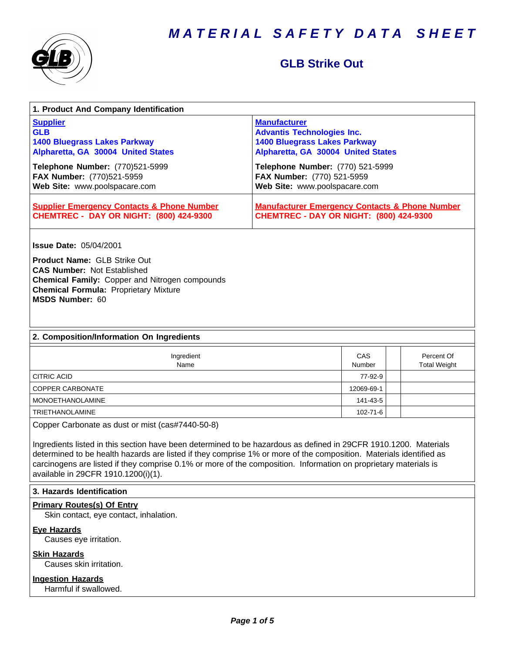

# **GLB Strike Out**

| 1. Product And Company Identification                                                                                                                                                                                                                                                                                                                                                                                                                 |                                                                                                                                       |                      |                                   |
|-------------------------------------------------------------------------------------------------------------------------------------------------------------------------------------------------------------------------------------------------------------------------------------------------------------------------------------------------------------------------------------------------------------------------------------------------------|---------------------------------------------------------------------------------------------------------------------------------------|----------------------|-----------------------------------|
| <b>Supplier</b><br><b>GLB</b><br><b>1400 Bluegrass Lakes Parkway</b><br>Alpharetta, GA 30004 United States                                                                                                                                                                                                                                                                                                                                            | <b>Manufacturer</b><br><b>Advantis Technologies Inc.</b><br><b>1400 Bluegrass Lakes Parkway</b><br>Alpharetta, GA 30004 United States |                      |                                   |
| Telephone Number: (770)521-5999<br>FAX Number: (770)521-5959<br>Web Site: www.poolspacare.com                                                                                                                                                                                                                                                                                                                                                         | Telephone Number: (770) 521-5999<br>FAX Number: (770) 521-5959<br>Web Site: www.poolspacare.com                                       |                      |                                   |
| <b>Supplier Emergency Contacts &amp; Phone Number</b><br><b>CHEMTREC - DAY OR NIGHT: (800) 424-9300</b>                                                                                                                                                                                                                                                                                                                                               | <b>Manufacturer Emergency Contacts &amp; Phone Number</b><br><b>CHEMTREC - DAY OR NIGHT: (800) 424-9300</b>                           |                      |                                   |
| <b>Issue Date: 05/04/2001</b><br><b>Product Name: GLB Strike Out</b>                                                                                                                                                                                                                                                                                                                                                                                  |                                                                                                                                       |                      |                                   |
| <b>CAS Number: Not Established</b><br>Chemical Family: Copper and Nitrogen compounds<br><b>Chemical Formula: Proprietary Mixture</b><br><b>MSDS Number: 60</b>                                                                                                                                                                                                                                                                                        |                                                                                                                                       |                      |                                   |
| 2. Composition/Information On Ingredients                                                                                                                                                                                                                                                                                                                                                                                                             |                                                                                                                                       |                      |                                   |
| Ingredient<br>Name                                                                                                                                                                                                                                                                                                                                                                                                                                    |                                                                                                                                       | CAS<br><b>Number</b> | Percent Of<br><b>Total Weight</b> |
| <b>CITRIC ACID</b>                                                                                                                                                                                                                                                                                                                                                                                                                                    |                                                                                                                                       | 77-92-9              |                                   |
| COPPER CARBONATE                                                                                                                                                                                                                                                                                                                                                                                                                                      |                                                                                                                                       | 12069-69-1           |                                   |
| <b>MONOETHANOLAMINE</b>                                                                                                                                                                                                                                                                                                                                                                                                                               |                                                                                                                                       | 141-43-5             |                                   |
| TRIETHANOLAMINE                                                                                                                                                                                                                                                                                                                                                                                                                                       |                                                                                                                                       | $102 - 71 - 6$       |                                   |
| Copper Carbonate as dust or mist (cas#7440-50-8)<br>Ingredients listed in this section have been determined to be hazardous as defined in 29CFR 1910.1200. Materials<br>determined to be health hazards are listed if they comprise 1% or more of the composition. Materials identified as<br>carcinogens are listed if they comprise 0.1% or more of the composition. Information on proprietary materials is<br>available in 29CFR 1910.1200(i)(1). |                                                                                                                                       |                      |                                   |
| 3. Hazards Identification                                                                                                                                                                                                                                                                                                                                                                                                                             |                                                                                                                                       |                      |                                   |
| <b>Primary Routes(s) Of Entry</b><br>Skin contact, eye contact, inhalation.                                                                                                                                                                                                                                                                                                                                                                           |                                                                                                                                       |                      |                                   |
| <b>Eye Hazards</b><br>Causes eye irritation.                                                                                                                                                                                                                                                                                                                                                                                                          |                                                                                                                                       |                      |                                   |
| <b>Skin Hazards</b><br>Causes skin irritation.                                                                                                                                                                                                                                                                                                                                                                                                        |                                                                                                                                       |                      |                                   |
| <b>Ingestion Hazards</b><br>Harmful if swallowed.                                                                                                                                                                                                                                                                                                                                                                                                     |                                                                                                                                       |                      |                                   |
|                                                                                                                                                                                                                                                                                                                                                                                                                                                       |                                                                                                                                       |                      |                                   |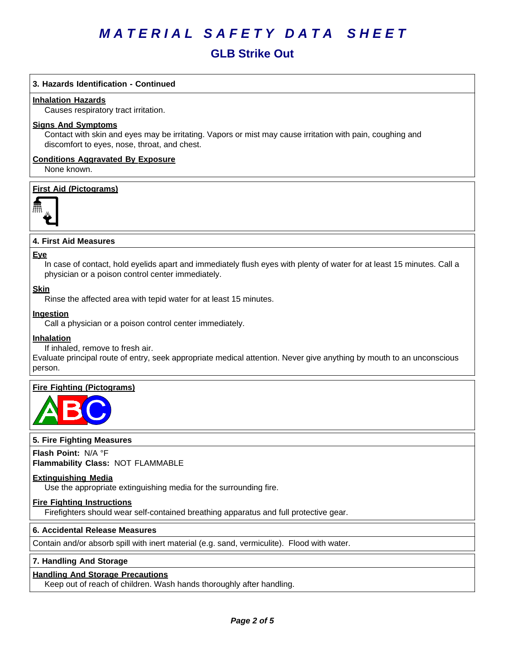# **GLB Strike Out**

# **3. Hazards Identification - Continued**

#### **Inhalation Hazards**

Causes respiratory tract irritation.

#### **Signs And Symptoms**

Contact with skin and eyes may be irritating. Vapors or mist may cause irritation with pain, coughing and discomfort to eyes, nose, throat, and chest.

## **Conditions Aggravated By Exposure**

None known.

# **First Aid (Pictograms)**



#### **4.FirstAidMeasures**

#### **Eye**

In case of contact, hold eyelids apart and immediately flush eyes with plenty of water for at least 15 minutes. Call a physician or a poison control center immediately.

#### **Skin**

Rinse the affected area with tepid water for at least 15 minutes.

#### **Ingestion**

Call a physician or a poison control center immediately.

#### **Inhalation**

If inhaled, remove to fresh air.

Evaluate principal route of entry, seek appropriate medical attention. Never give anything by mouth to an unconscious person.

#### **Fire Fighting (Pictograms)**



## **5. Fire Fighting Measures**

**Flash Point:** N/A°F **Flammability Class:** NOT FLAMMABLE

#### **Extinguishing Media**

Use the appropriate extinguishing media for the surrounding fire.

#### **Fire Fighting Instructions**

Firefighters should wear self-contained breathing apparatus and full protective gear.

## **6.Accidental ReleaseMeasures**

Contain and/or absorb spill with inert material (e.g. sand, vermiculite). Flood with water.

#### **7. Handling And Storage**

#### **Handling And Storage Precautions**

Keep out of reach of children. Wash hands thoroughly after handling.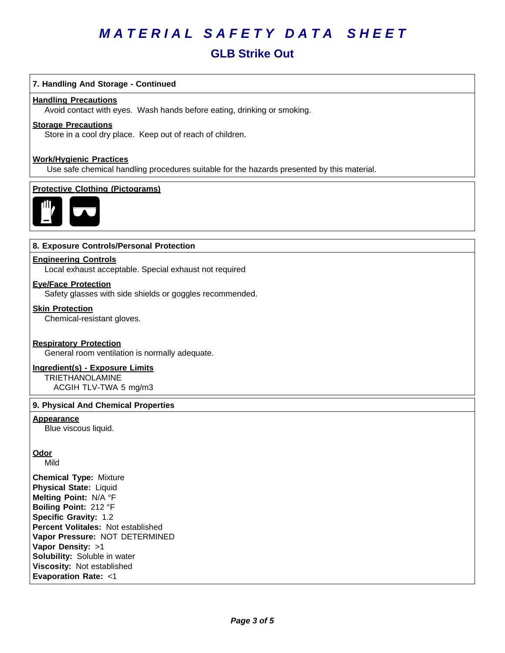# **GLB Strike Out**

# **7. Handling And Storage - Continued**

#### **Handling Precautions**

Avoid contact with eyes. Wash hands before eating, drinking or smoking.

## **Storage Precautions**

Store in a cool dry place. Keep out of reach of children.

#### **Work/Hygienic Practices**

Use safe chemical handling procedures suitable for the hazards presented by this material.

# **Protective Clothing (Pictograms)**



# **8. Exposure Controls/Personal Protection**

#### **Engineering Controls**

Local exhaust acceptable. Special exhaust not required

#### **Eye/Face Protection**

Safety glasses with side shields or goggles recommended.

#### **Skin Protection**

Chemical-resistant gloves.

#### **Respiratory Protection**

General room ventilation is normally adequate.

## **Ingredient(s) - Exposure Limits**

TRIETHANOLAMINE ACGIH TLV-TWA 5 mg/m3

#### **9. Physical And Chemical Properties**

#### **Appearance**

Blue viscous liquid.

# **Odor**

Mild

**Chemical Type:** Mixture **Physical State:** Liquid **Melting Point:** N/A°F **Boiling Point:** 212°F **Specific Gravity:** 1.2 **Percent Volitales:** Not established **Vapor Pressure:** NOT DETERMINED **Vapor Density:** >1 **Solubility:** Soluble in water **Viscosity: Not established Evaporation Rate:** <1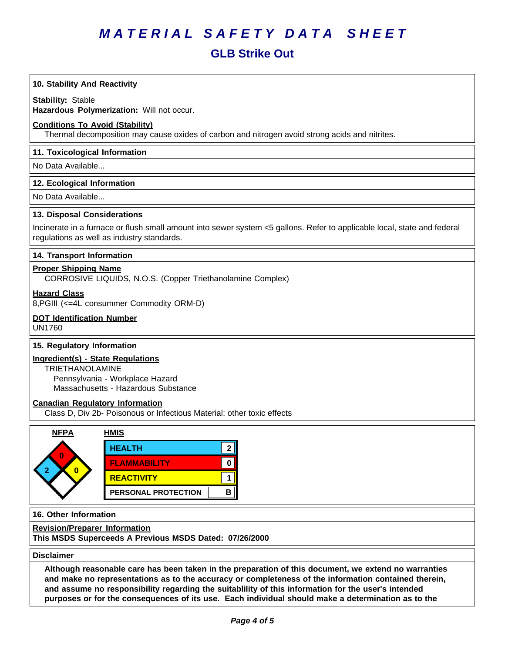# **GLB Strike Out**

# **10. Stability And Reactivity**

#### **Stability: Stable**

Hazardous Polymerization: Will not occur.

## **Conditions To Avoid (Stability)**

Thermal decomposition may cause oxides of carbon and nitrogen avoid strong acids and nitrites.

## **11. Toxicological Information**

No Data Available...

#### **12. Ecological Information**

No Data Available...

#### **13. Disposal Considerations**

Incinerate in a furnace or flush small amount into sewer system <5 gallons. Refer to applicable local, state and federal regulations as well as industry standards.

# **14. Transport Information**

# **Proper Shipping Name**

CORROSIVE LIQUIDS, N.O.S. (Copper Triethanolamine Complex)

**Hazard Class**

8,PGIII (<=4L consummer Commodity ORM-D)

# **DOT Identification Number**

UN1760

# **15. Regulatory Information**

# **Ingredient(s) - State Regulations**

TRIETHANOLAMINE Pennsylvania - Workplace Hazard Massachusetts - Hazardous Substance

#### **Canadian Regulatory Information**

Class D, Div 2b- Poisonous or Infectious Material: other toxic effects



#### **16. Other Information**

**Revision/Preparer Information**

**This MSDS Superceeds A Previous MSDS Dated: 07/26/2000**

**Disclaimer**

Although reasonable care has been taken in the preparation of this document, we extend no warranties **and make no representations as to the accuracy or completeness of the information contained therein, and assume no responsibility regarding the suitablility of this information for the user's intended** purposes or for the consequences of its use. Each individual should make a determination as to the